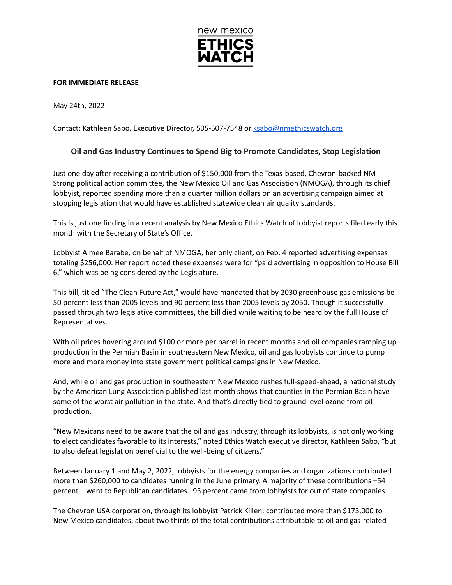

## **FOR IMMEDIATE RELEASE**

May 24th, 2022

Contact: Kathleen Sabo, Executive Director, 505-507-7548 or [ksabo@nmethicswatch.org](mailto:ksabo@nmethicswatch.org)

## **Oil and Gas Industry Continues to Spend Big to Promote Candidates, Stop Legislation**

Just one day after receiving a contribution of \$150,000 from the Texas-based, Chevron-backed NM Strong political action committee, the New Mexico Oil and Gas Association (NMOGA), through its chief lobbyist, reported spending more than a quarter million dollars on an advertising campaign aimed at stopping legislation that would have established statewide clean air quality standards.

This is just one finding in a recent analysis by New Mexico Ethics Watch of lobbyist reports filed early this month with the Secretary of State's Office.

Lobbyist Aimee Barabe, on behalf of NMOGA, her only client, on Feb. 4 reported advertising expenses totaling \$256,000. Her report noted these expenses were for "paid advertising in opposition to House Bill 6," which was being considered by the Legislature.

This bill, titled "The Clean Future Act," would have mandated that by 2030 greenhouse gas emissions be 50 percent less than 2005 levels and 90 percent less than 2005 levels by 2050. Though it successfully passed through two legislative committees, the bill died while waiting to be heard by the full House of Representatives.

With oil prices hovering around \$100 or more per barrel in recent months and oil companies ramping up production in the Permian Basin in southeastern New Mexico, oil and gas lobbyists continue to pump more and more money into state government political campaigns in New Mexico.

And, while oil and gas production in southeastern New Mexico rushes full-speed-ahead, a national study by the American Lung Association published last month shows that counties in the Permian Basin have some of the worst air pollution in the state. And that's directly tied to ground level ozone from oil production.

"New Mexicans need to be aware that the oil and gas industry, through its lobbyists, is not only working to elect candidates favorable to its interests," noted Ethics Watch executive director, Kathleen Sabo, "but to also defeat legislation beneficial to the well-being of citizens."

Between January 1 and May 2, 2022, lobbyists for the energy companies and organizations contributed more than \$260,000 to candidates running in the June primary. A majority of these contributions –54 percent – went to Republican candidates. 93 percent came from lobbyists for out of state companies.

The Chevron USA corporation, through its lobbyist Patrick Killen, contributed more than \$173,000 to New Mexico candidates, about two thirds of the total contributions attributable to oil and gas-related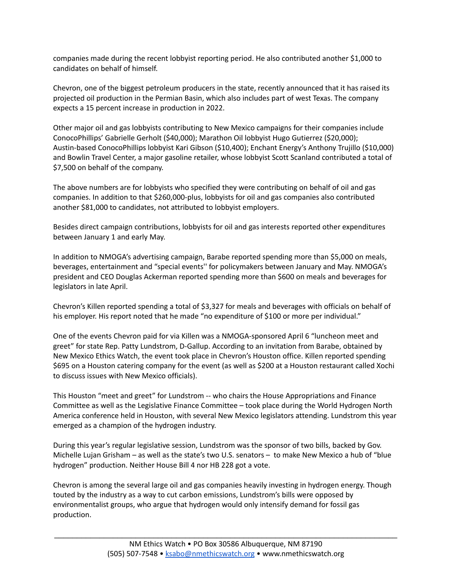companies made during the recent lobbyist reporting period. He also contributed another \$1,000 to candidates on behalf of himself.

Chevron, one of the biggest petroleum producers in the state, recently announced that it has raised its projected oil production in the Permian Basin, which also includes part of west Texas. The company expects a 15 percent increase in production in 2022.

Other major oil and gas lobbyists contributing to New Mexico campaigns for their companies include ConocoPhillips' Gabrielle Gerholt (\$40,000); Marathon Oil lobbyist Hugo Gutierrez (\$20,000); Austin-based ConocoPhillips lobbyist Kari Gibson (\$10,400); Enchant Energy's Anthony Trujillo (\$10,000) and Bowlin Travel Center, a major gasoline retailer, whose lobbyist Scott Scanland contributed a total of \$7,500 on behalf of the company.

The above numbers are for lobbyists who specified they were contributing on behalf of oil and gas companies. In addition to that \$260,000-plus, lobbyists for oil and gas companies also contributed another \$81,000 to candidates, not attributed to lobbyist employers.

Besides direct campaign contributions, lobbyists for oil and gas interests reported other expenditures between January 1 and early May.

In addition to NMOGA's advertising campaign, Barabe reported spending more than \$5,000 on meals, beverages, entertainment and "special events'' for policymakers between January and May. NMOGA's president and CEO Douglas Ackerman reported spending more than \$600 on meals and beverages for legislators in late April.

Chevron's Killen reported spending a total of \$3,327 for meals and beverages with officials on behalf of his employer. His report noted that he made "no expenditure of \$100 or more per individual."

One of the events Chevron paid for via Killen was a NMOGA-sponsored April 6 "luncheon meet and greet" for state Rep. Patty Lundstrom, D-Gallup. According to an invitation from Barabe, obtained by New Mexico Ethics Watch, the event took place in Chevron's Houston office. Killen reported spending \$695 on a Houston catering company for the event (as well as \$200 at a Houston restaurant called Xochi to discuss issues with New Mexico officials).

This Houston "meet and greet" for Lundstrom -- who chairs the House Appropriations and Finance Committee as well as the Legislative Finance Committee – took place during the World Hydrogen North America conference held in Houston, with several New Mexico legislators attending. Lundstrom this year emerged as a champion of the hydrogen industry.

During this year's regular legislative session, Lundstrom was the sponsor of two bills, backed by Gov. Michelle Lujan Grisham – as well as the state's two U.S. senators – to make New Mexico a hub of "blue hydrogen" production. Neither House Bill 4 nor HB 228 got a vote.

Chevron is among the several large oil and gas companies heavily investing in hydrogen energy. Though touted by the industry as a way to cut carbon emissions, Lundstrom's bills were opposed by environmentalist groups, who argue that hydrogen would only intensify demand for fossil gas production.